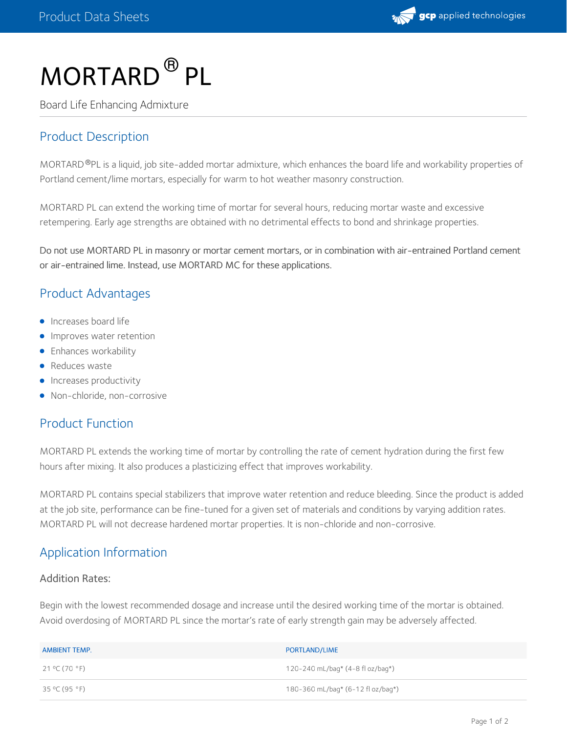

# $MORTARD$ <sup>®</sup> PL

Board Life Enhancing Admixture

# Product Description

MORTARD ®PL is a liquid, job site-added mortar admixture, which enhances the board life and workability properties of Portland cement/lime mortars, especially for warm to hot weather masonry construction.

MORTARD PL can extend the working time of mortar for several hours, reducing mortar waste and excessive retempering. Early age strengths are obtained with no detrimental effects to bond and shrinkage properties.

Do not use MORTARD PL in masonry or mortar cement mortars, or in combination with air-entrained Portland cement or air-entrained lime. Instead, use MORTARD MC for these applications.

## Product Advantages

- **Increases board life**
- **Improves water retention**
- **•** Enhances workability
- Reduces waste
- **Increases productivity**
- Non-chloride, non-corrosive

# Product Function

MORTARD PL extends the working time of mortar by controlling the rate of cement hydration during the first few hours after mixing. It also produces a plasticizing effect that improves workability.

MORTARD PL contains special stabilizers that improve water retention and reduce bleeding. Since the product is added at the job site, performance can be fine-tuned for a given set of materials and conditions by varying addition rates. MORTARD PL will not decrease hardened mortar properties. It is non-chloride and non-corrosive.

## Application Information

#### Addition Rates:

Begin with the lowest recommended dosage and increase until the desired working time of the mortar is obtained. Avoid overdosing of MORTARD PL since the mortar's rate of early strength gain may be adversely affected.

| AMBIENT TEMP. | PORTLAND/LIME                              |
|---------------|--------------------------------------------|
| 21 °C (70 °F) | 120-240 mL/bag* $(4-8 \text{ fl oz/baq*})$ |
| 35 °C (95 °F) | 180-360 mL/bag* (6-12 fl oz/bag*)          |